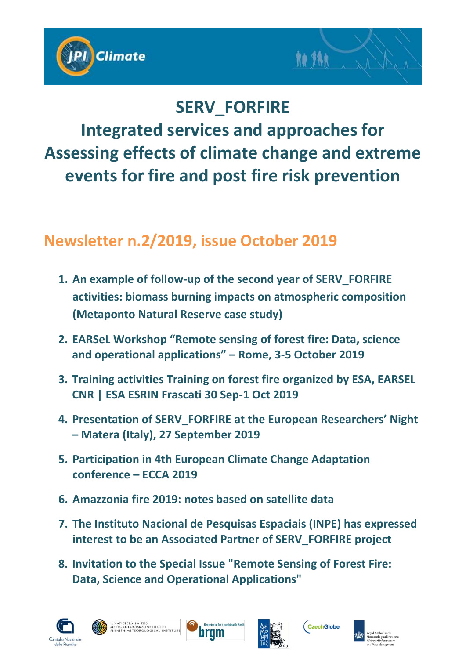



# **SERV\_FORFIRE**

**Integrated services and approaches for Assessing effects of climate change and extreme events for fire and post fire risk prevention**

## **Newsletter n.2/2019, issue October 2019**

- **1. An example of follow-up of the second year of SERV\_FORFIRE activities: biomass burning impacts on atmospheric composition (Metaponto Natural Reserve case study)**
- **2. EARSeL Workshop "Remote sensing of forest fire: Data, science and operational applications" – Rome, 3-5 October 2019**
- **3. Training activities Training on forest fire organized by ESA, EARSEL CNR | ESA ESRIN Frascati 30 Sep-1 Oct 2019**
- **4. Presentation of SERV\_FORFIRE at the European Researchers' Night – Matera (Italy), 27 September 2019**
- **5. Participation in 4th European Climate Change Adaptation conference – ECCA 2019**
- **6. Amazzonia fire 2019: notes based on satellite data**
- **7. The Instituto Nacional de Pesquisas Espaciais (INPE) has expressed interest to be an Associated Partner of SERV\_FORFIRE project**
- **8. Invitation to the Special Issue "Remote Sensing of Forest Fire: Data, Science and Operational Applications"**









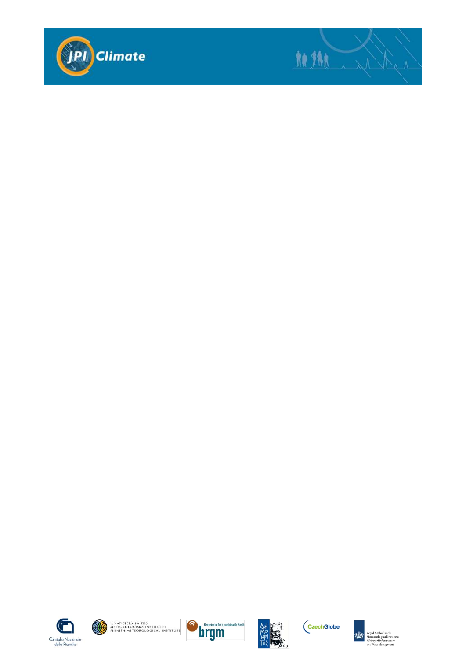











 $\bigg(\text{CzechGlobe}\bigg)$ 

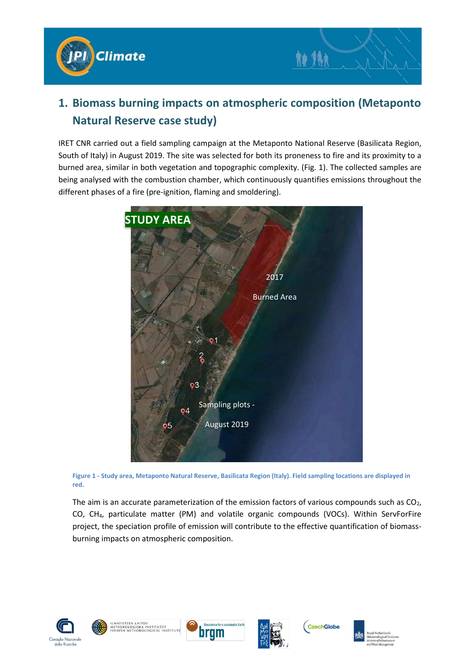

#### **1. Biomass burning impacts on atmospheric composition (Metaponto Natural Reserve case study)**

IRET CNR carried out a field sampling campaign at the Metaponto National Reserve (Basilicata Region, South of Italy) in August 2019. The site was selected for both its proneness to fire and its proximity to a burned area, similar in both vegetation and topographic complexity. (Fig. 1). The collected samples are being analysed with the combustion chamber, which continuously quantifies emissions throughout the different phases of a fire (pre-ignition, flaming and smoldering).





The aim is an accurate parameterization of the emission factors of various compounds such as  $CO<sub>2</sub>$ , CO, CH4, particulate matter (PM) and volatile organic compounds (VOCs). Within ServForFire project, the speciation profile of emission will contribute to the effective quantification of biomassburning impacts on atmospheric composition.









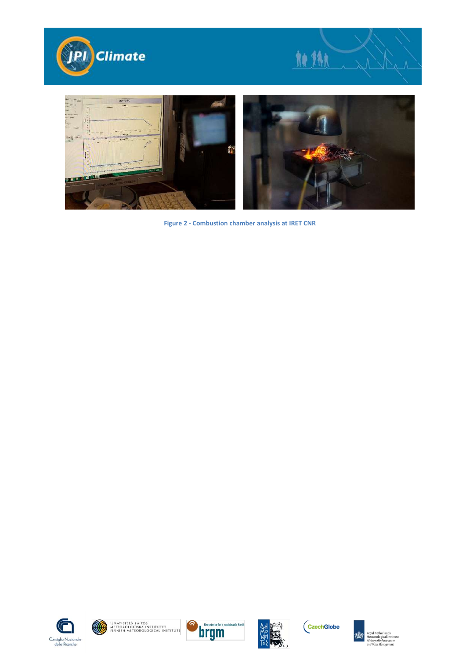

**Figure 2 - Combustion chamber analysis at IRET CNR**







able Earth



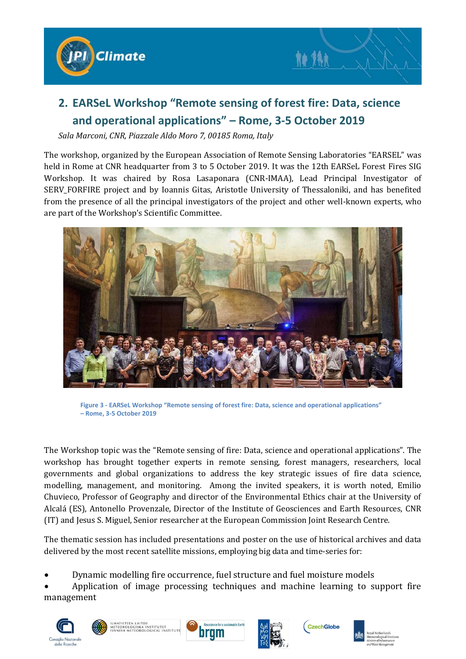

### **2. EARSeL Workshop "Remote sensing of forest fire: Data, science and operational applications" – Rome, 3-5 October 2019**

*Sala Marconi, CNR, Piazzale Aldo Moro 7, 00185 Roma, Italy*

The workshop, organized by the European Association of Remote Sensing Laboratories "EARSEL" was held in Rome at CNR headquarter from 3 to 5 October 2019. It was the 12th EARSeL Forest Fires SIG Workshop. It was chaired by Rosa Lasaponara (CNR-IMAA), Lead Principal Investigator of SERV FORFIRE project and by Ioannis Gitas, Aristotle University of Thessaloniki, and has benefited from the presence of all the principal investigators of the project and other well-known experts, who are part of the Workshop's Scientific Committee.



**Figure 3 - EARSeL Workshop "Remote sensing of forest fire: Data, science and operational applications" – Rome, 3-5 October 2019**

The Workshop topic was the "Remote sensing of fire: Data, science and operational applications". The workshop has brought together experts in remote sensing, forest managers, researchers, local governments and global organizations to address the key strategic issues of fire data science, modelling, management, and monitoring. Among the invited speakers, it is worth noted, Emilio Chuvieco, Professor of Geography and director of the Environmental Ethics chair at the University of Alcalá (ES), Antonello Provenzale, Director of the Institute of Geosciences and Earth Resources, CNR (IT) and Jesus S. Miguel, Senior researcher at the European Commission Joint Research Centre.

The thematic session has included presentations and poster on the use of historical archives and data delivered by the most recent satellite missions, employing big data and time-series for:

Dynamic modelling fire occurrence, fuel structure and fuel moisture models

 Application of image processing techniques and machine learning to support fire management











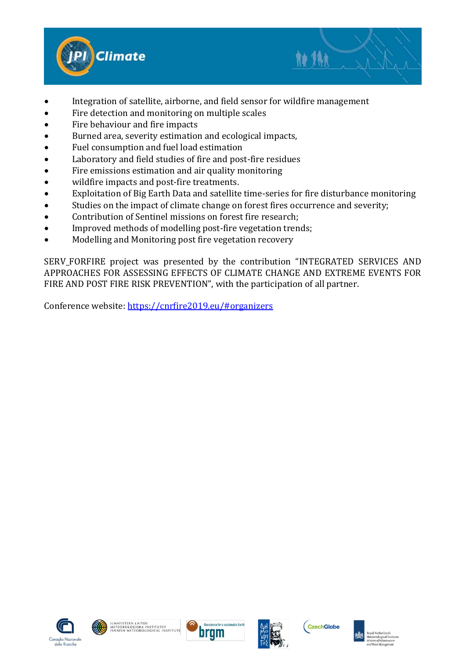



- Integration of satellite, airborne, and field sensor for wildfire management
- Fire detection and monitoring on multiple scales
- Fire behaviour and fire impacts
- Burned area, severity estimation and ecological impacts,
- Fuel consumption and fuel load estimation
- Laboratory and field studies of fire and post-fire residues
- Fire emissions estimation and air quality monitoring
- wildfire impacts and post-fire treatments.
- Exploitation of Big Earth Data and satellite time-series for fire disturbance monitoring
- Studies on the impact of climate change on forest fires occurrence and severity;
- Contribution of Sentinel missions on forest fire research;
- Improved methods of modelling post-fire vegetation trends;
- Modelling and Monitoring post fire vegetation recovery

SERV FORFIRE project was presented by the contribution "INTEGRATED SERVICES AND APPROACHES FOR ASSESSING EFFECTS OF CLIMATE CHANGE AND EXTREME EVENTS FOR FIRE AND POST FIRE RISK PREVENTION", with the participation of all partner.

Conference website:<https://cnrfire2019.eu/#organizers>









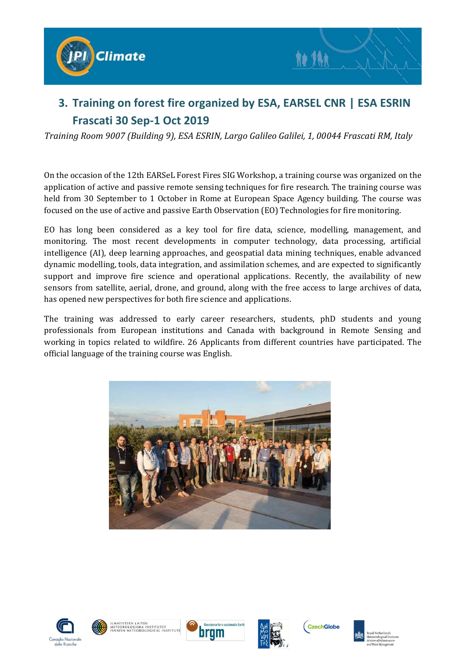



#### **3. Training on forest fire organized by ESA, EARSEL CNR | ESA ESRIN Frascati 30 Sep-1 Oct 2019**

*Training Room 9007 (Building 9), ESA ESRIN, Largo Galileo Galilei, 1, 00044 Frascati RM, Italy*

On the occasion of the 12th EARSeL Forest Fires SIG Workshop, a training course was organized on the application of active and passive remote sensing techniques for fire research. The training course was held from 30 September to 1 October in Rome at European Space Agency building. The course was focused on the use of active and passive Earth Observation (EO) Technologies for fire monitoring.

EO has long been considered as a key tool for fire data, science, modelling, management, and monitoring. The most recent developments in computer technology, data processing, artificial intelligence (AI), deep learning approaches, and geospatial data mining techniques, enable advanced dynamic modelling, tools, data integration, and assimilation schemes, and are expected to significantly support and improve fire science and operational applications. Recently, the availability of new sensors from satellite, aerial, drone, and ground, along with the free access to large archives of data, has opened new perspectives for both fire science and applications.

The training was addressed to early career researchers, students, phD students and young professionals from European institutions and Canada with background in Remote Sensing and working in topics related to wildfire. 26 Applicants from different countries have participated. The official language of the training course was English.









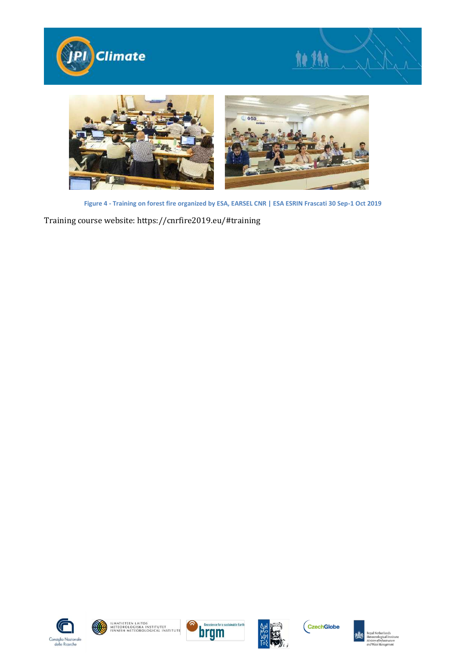





**Figure 4 - Training on forest fire organized by ESA, EARSEL CNR | ESA ESRIN Frascati 30 Sep-1 Oct 2019**

Training course website:<https://cnrfire2019.eu/#training>







e Farti



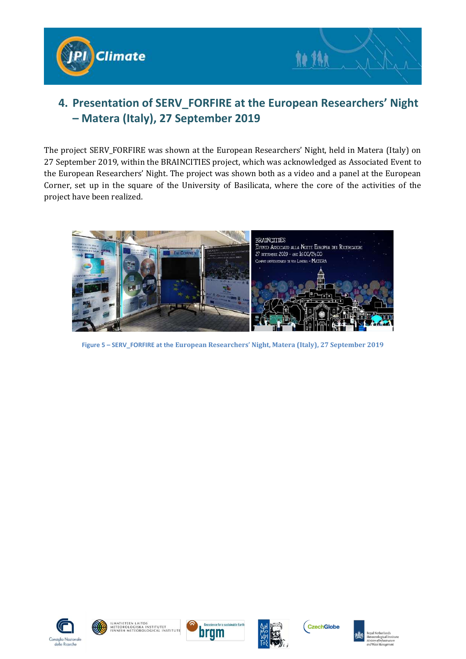

#### **4. Presentation of SERV\_FORFIRE at the European Researchers' Night – Matera (Italy), 27 September 2019**

The project SERV\_FORFIRE was shown at the European Researchers' Night, held in Matera (Italy) on 27 September 2019, within the BRAINCITIES project, which was acknowledged as Associated Event to the European Researchers' Night. The project was shown both as a video and a panel at the European Corner, set up in the square of the University of Basilicata, where the core of the activities of the project have been realized.



**Figure 5 – SERV\_FORFIRE at the European Researchers' Night, Matera (Italy), 27 September 2019**









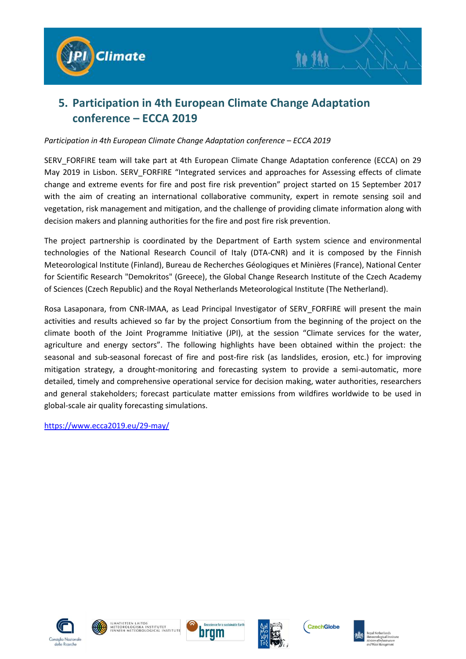



#### **5. Participation in 4th European Climate Change Adaptation conference – ECCA 2019**

#### *Participation in 4th European Climate Change Adaptation conference – ECCA 2019*

SERV FORFIRE team will take part at 4th European Climate Change Adaptation conference (ECCA) on 29 May 2019 in Lisbon. SERV\_FORFIRE "Integrated services and approaches for Assessing effects of climate change and extreme events for fire and post fire risk prevention" project started on 15 September 2017 with the aim of creating an international collaborative community, expert in remote sensing soil and vegetation, risk management and mitigation, and the challenge of providing climate information along with decision makers and planning authorities for the fire and post fire risk prevention.

The project partnership is coordinated by the Department of Earth system science and environmental technologies of the National Research Council of Italy (DTA-CNR) and it is composed by the Finnish Meteorological Institute (Finland), Bureau de Recherches Géologiques et Minières (France), National Center for Scientific Research "Demokritos" (Greece), the Global Change Research Institute of the Czech Academy of Sciences (Czech Republic) and the Royal Netherlands Meteorological Institute (The Netherland).

Rosa Lasaponara, from CNR-IMAA, as Lead Principal Investigator of SERV\_FORFIRE will present the main activities and results achieved so far by the project Consortium from the beginning of the project on the climate booth of the Joint Programme Initiative (JPI), at the session "Climate services for the water, agriculture and energy sectors". The following highlights have been obtained within the project: the seasonal and sub-seasonal forecast of fire and post-fire risk (as landslides, erosion, etc.) for improving mitigation strategy, a drought-monitoring and forecasting system to provide a semi-automatic, more detailed, timely and comprehensive operational service for decision making, water authorities, researchers and general stakeholders; forecast particulate matter emissions from wildfires worldwide to be used in global-scale air quality forecasting simulations.

<https://www.ecca2019.eu/29-may/>







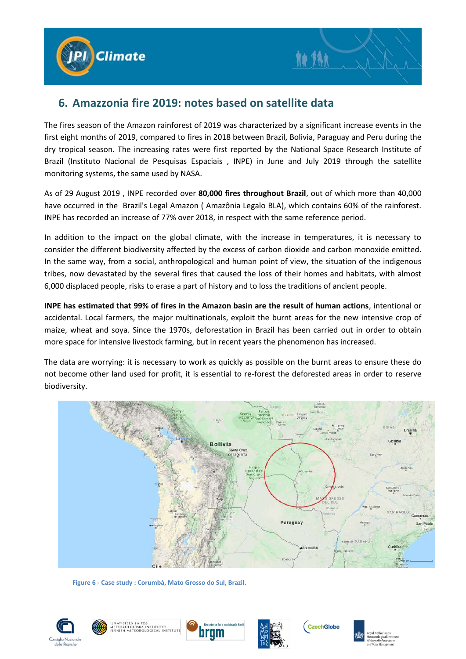

#### **6. Amazzonia fire 2019: notes based on satellite data**

**Climate** 

The fires season of the Amazon rainforest of 2019 was characterized by a significant increase events in the first eight months of 2019, compared to fires in 2018 between Brazil, Bolivia, Paraguay and Peru during the dry tropical season. The increasing rates were first reported by the National Space Research Institute of Brazil (Instituto Nacional de Pesquisas Espaciais , INPE) in June and July 2019 through the satellite monitoring systems, the same used by NASA.

As of 29 August 2019 , INPE recorded over **80,000 fires throughout Brazil**, out of which more than 40,000 have occurred in the Brazil's Legal Amazon ( Amazônia Legalo BLA), which contains 60% of the rainforest. INPE has recorded an increase of 77% over 2018, in respect with the same reference period.

In addition to the impact on the global climate, with the increase in temperatures, it is necessary to consider the different biodiversity affected by the excess of carbon dioxide and carbon monoxide emitted. In the same way, from a social, anthropological and human point of view, the situation of the indigenous tribes, now devastated by the several fires that caused the loss of their homes and habitats, with almost 6,000 displaced people, risks to erase a part of history and to loss the traditions of ancient people.

**INPE has estimated that 99% of fires in the Amazon basin are the result of human actions**, intentional or accidental. Local farmers, the major multinationals, exploit the burnt areas for the new intensive crop of maize, wheat and soya. Since the 1970s, deforestation in Brazil has been carried out in order to obtain more space for intensive livestock farming, but in recent years the phenomenon has increased.

The data are worrying: it is necessary to work as quickly as possible on the burnt areas to ensure these do not become other land used for profit, it is essential to re-forest the deforested areas in order to reserve biodiversity.



**Figure 6 - Case study : Corumbà, Mato Grosso do Sul, Brazil.**

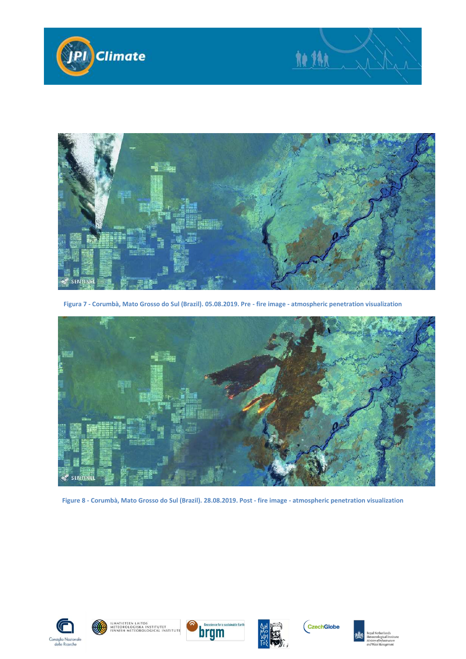





**Figura 7 - Corumbà, Mato Grosso do Sul (Brazil). 05.08.2019. Pre - fire image - atmospheric penetration visualization**



**Figure 8 - Corumbà, Mato Grosso do Sul (Brazil). 28.08.2019. Post - fire image - atmospheric penetration visualization**







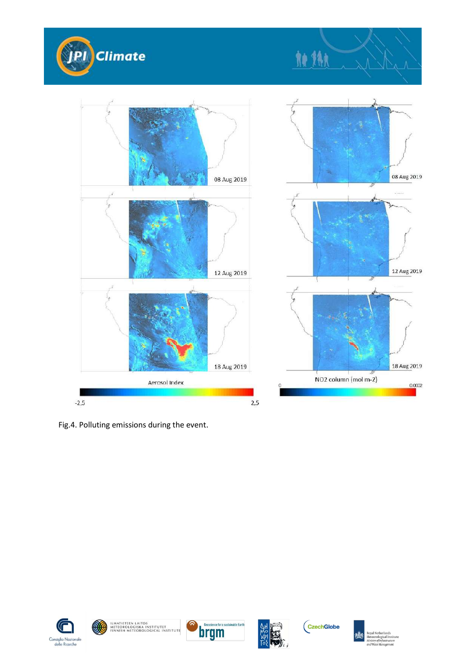

**Ne 24A** 



Fig.4. Polluting emissions during the event.







ble Earth

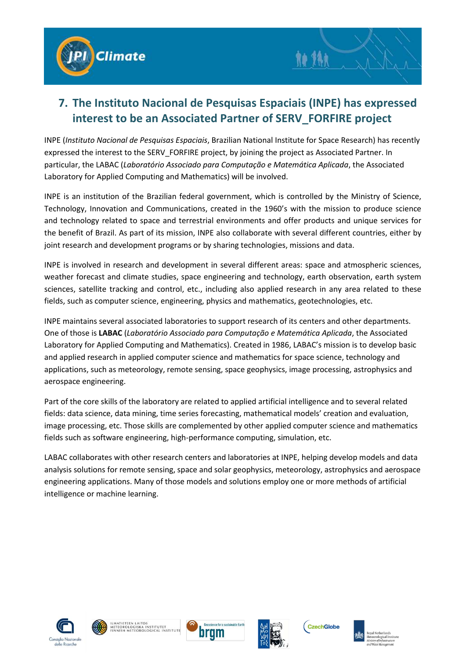



#### **7. The Instituto Nacional de Pesquisas Espaciais (INPE) has expressed interest to be an Associated Partner of SERV\_FORFIRE project**

INPE (*Instituto Nacional de Pesquisas Espaciais*, Brazilian National Institute for Space Research) has recently expressed the interest to the SERV\_FORFIRE project, by joining the project as Associated Partner. In particular, the LABAC (*Laboratório Associado para Computação e Matemática Aplicada*, the Associated Laboratory for Applied Computing and Mathematics) will be involved.

INPE is an institution of the Brazilian federal government, which is controlled by the Ministry of Science, Technology, Innovation and Communications, created in the 1960's with the mission to produce science and technology related to space and terrestrial environments and offer products and unique services for the benefit of Brazil. As part of its mission, INPE also collaborate with several different countries, either by joint research and development programs or by sharing technologies, missions and data.

INPE is involved in research and development in several different areas: space and atmospheric sciences, weather forecast and climate studies, space engineering and technology, earth observation, earth system sciences, satellite tracking and control, etc., including also applied research in any area related to these fields, such as computer science, engineering, physics and mathematics, geotechnologies, etc.

INPE maintains several associated laboratories to support research of its centers and other departments. One of those is **LABAC** (*Laboratório Associado para Computação e Matemática Aplicada*, the Associated Laboratory for Applied Computing and Mathematics). Created in 1986, LABAC's mission is to develop basic and applied research in applied computer science and mathematics for space science, technology and applications, such as meteorology, remote sensing, space geophysics, image processing, astrophysics and aerospace engineering.

Part of the core skills of the laboratory are related to applied artificial intelligence and to several related fields: data science, data mining, time series forecasting, mathematical models' creation and evaluation, image processing, etc. Those skills are complemented by other applied computer science and mathematics fields such as software engineering, high-performance computing, simulation, etc.

LABAC collaborates with other research centers and laboratories at INPE, helping develop models and data analysis solutions for remote sensing, space and solar geophysics, meteorology, astrophysics and aerospace engineering applications. Many of those models and solutions employ one or more methods of artificial intelligence or machine learning.